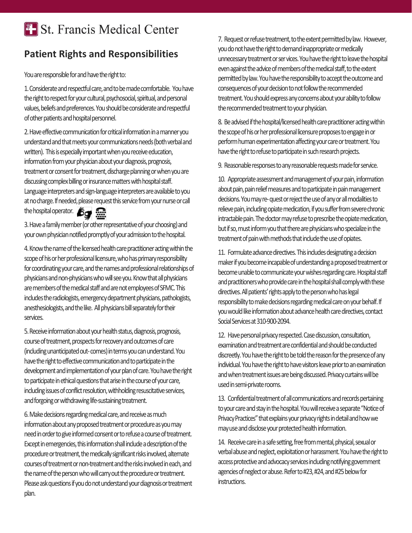## **T.** St. Francis Medical Center

## **Patient Rights and Responsibilities**

You are responsible for and have the right to:

1.Considerate and respectful care, and to be made comfortable. You have the right to respect for your cultural, psychosocial, spiritual, and personal values, beliefs and preferences. You should be considerate and respectful of other patients and hospital personnel.

2.Have effective communication for critical information in a manner you understand and that meets your communications needs (both verbal and written). This is especially important when you receive education, information from your physician about your diagnosis, prognosis, treatment or consent for treatment, discharge planning or when you are discussing complex billing or insurance matters with hospital staff. Language interpreters and sign-language interpreters are available to you atno charge. If needed, please request this service from your nurse or call the hospital operator. 6g

3.Have a family member (or other representative of your choosing) and your own physician notified promptly of your admission to the hospital.

4.Know the name of the licensed health care practitioner acting within the scope of his or her professional licensure, who has primary responsibility for coordinating your care, and the names and professional relationships of physicians and non-physicians who will see you. Know that all physicians are members of the medical staff and are not employees of SFMC. This includes the radiologists, emergency department physicians, pathologists, anesthesiologists, and the like. All physicians bill separately for their services.

5.Receive information about your health status, diagnosis, prognosis, course of treatment, prospects for recovery and outcomes of care (including unanticipated out-comes) in terms you can understand. You have the right to effective communication and to participate in the development and implementation of your plan of care. You have the right to participate in ethical questions that arise in the course of your care, including issues of conflict resolution, withholding resuscitative services, and forgoing or withdrawing life-sustaining treatment.

6.Make decisions regarding medical care, and receive as much information about any proposed treatment or procedure as you may need in order to give informed consent or to refuse a course of treatment. Except in emergencies, this information shall include a description of the procedure or treatment, the medically significant risks involved, alternate courses of treatment or non-treatment and the risks involved in each, and the name of the person who will carry out the procedure or treatment. Please ask questions if you do not understand your diagnosis or treatment plan.

7. Request or refuse treatment, to the extent permitted by law. However, you do not have the right to demand inappropriate or medically unnecessary treatment or ser vices. You have the right to leave the hospital even against the advice of members of the medical staff, to the extent permitted by law. You have the responsibility to accept the outcome and consequences of your decision to not follow the recommended treatment. You should express any concerns about your ability to follow the recommended treatment to your physician.

8. Be advised if the hospital/licensed health care practitioner acting within the scope of his or her professional licensure proposes to engage in or perform human experimentation affecting your care or treatment. You have the right to refuse to participate in such research projects.

9. Reasonable responses to any reasonable requests made for service.

10. Appropriate assessment and management of your pain, information about pain, pain relief measures and to participate in pain management decisions. You may re-quest or reject the use of any or all modalities to relieve pain, including opiate medication, if you suffer from severe chronic intractable pain. The doctor may refuse to prescribe the opiate medication, but if so, must inform you that there are physicians who specialize in the treatment of pain with methods that include the use of opiates.

11. Formulate advance directives. This includes designating a decision maker if you become incapable of understanding a proposed treatment or become unable to communicate your wishes regarding care. Hospital staff and practitioners who provide care in the hospital shall comply with these directives. All patients' rights apply to the person who has legal responsibility to make decisions regarding medical care on your behalf. If you would like information about advance health care directives, contact Social Services at 310-900-2094.

12. Have personal privacy respected. Case discussion, consultation, examination and treatment are confidential and should be conducted discreetly. You have the right to be told the reason for the presence of any individual. You have the right to have visitors leave prior to an examination and when treatment issues are being discussed. Privacy curtains will be used in semi-private rooms.

13. Confidential treatment of all communications and records pertaining to your care and stay in the hospital. You will receive a separate "Notice of Privacy Practices" that explains your privacy rights in detail and how we may use and disclose your protected health information.

14. Receive care in a safe setting, free from mental, physical, sexual or verbal abuse and neglect, exploitation or harassment. You have the right to access protective and advocacy services including notifying government agencies of neglect or abuse. Refer to #23, #24, and #25 below for instructions.